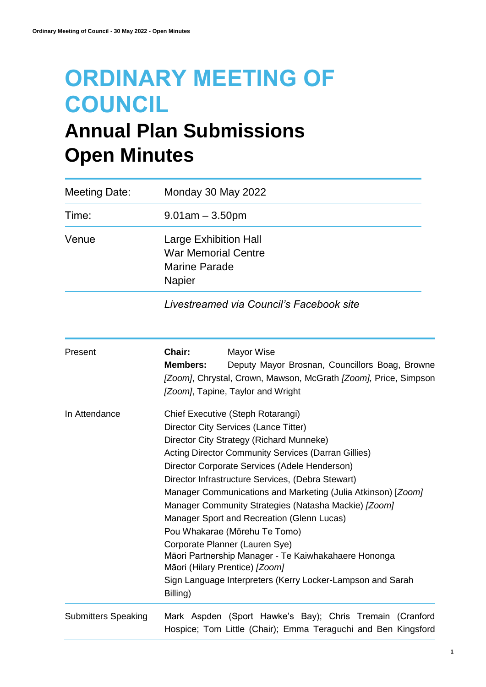# **ORDINARY MEETING OF COUNCIL**

# **Annual Plan Submissions Open Minutes**

| <b>Meeting Date:</b>       | Monday 30 May 2022                                                                                                                                                                                                                                                                                                                                                                                                                                                                                                                                                                                                                                                                                      |
|----------------------------|---------------------------------------------------------------------------------------------------------------------------------------------------------------------------------------------------------------------------------------------------------------------------------------------------------------------------------------------------------------------------------------------------------------------------------------------------------------------------------------------------------------------------------------------------------------------------------------------------------------------------------------------------------------------------------------------------------|
| Time:                      | $9.01$ am $-3.50$ pm                                                                                                                                                                                                                                                                                                                                                                                                                                                                                                                                                                                                                                                                                    |
| Venue                      | <b>Large Exhibition Hall</b><br><b>War Memorial Centre</b><br><b>Marine Parade</b><br>Napier                                                                                                                                                                                                                                                                                                                                                                                                                                                                                                                                                                                                            |
|                            | Livestreamed via Council's Facebook site                                                                                                                                                                                                                                                                                                                                                                                                                                                                                                                                                                                                                                                                |
| Present                    | Chair:<br>Mayor Wise<br><b>Members:</b><br>Deputy Mayor Brosnan, Councillors Boag, Browne<br>[Zoom], Chrystal, Crown, Mawson, McGrath [Zoom], Price, Simpson<br>[Zoom], Tapine, Taylor and Wright                                                                                                                                                                                                                                                                                                                                                                                                                                                                                                       |
| In Attendance              | Chief Executive (Steph Rotarangi)<br>Director City Services (Lance Titter)<br>Director City Strategy (Richard Munneke)<br><b>Acting Director Community Services (Darran Gillies)</b><br>Director Corporate Services (Adele Henderson)<br>Director Infrastructure Services, (Debra Stewart)<br>Manager Communications and Marketing (Julia Atkinson) [Zoom]<br>Manager Community Strategies (Natasha Mackie) [Zoom]<br>Manager Sport and Recreation (Glenn Lucas)<br>Pou Whakarae (Mōrehu Te Tomo)<br>Corporate Planner (Lauren Sye)<br>Māori Partnership Manager - Te Kaiwhakahaere Hononga<br>Māori (Hilary Prentice) [Zoom]<br>Sign Language Interpreters (Kerry Locker-Lampson and Sarah<br>Billing) |
| <b>Submitters Speaking</b> | Mark Aspden (Sport Hawke's Bay); Chris Tremain (Cranford<br>Hospice; Tom Little (Chair); Emma Teraguchi and Ben Kingsford                                                                                                                                                                                                                                                                                                                                                                                                                                                                                                                                                                               |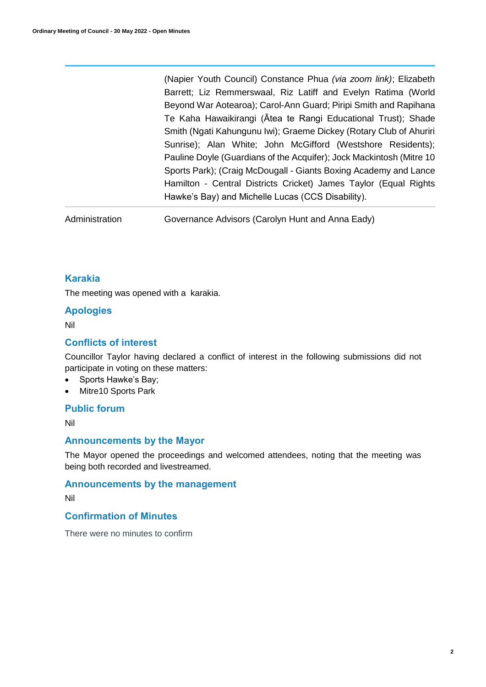(Napier Youth Council) Constance Phua *(via zoom link)*; Elizabeth Barrett; Liz Remmerswaal, Riz Latiff and Evelyn Ratima (World Beyond War Aotearoa); Carol-Ann Guard; Piripi Smith and Rapihana Te Kaha Hawaikirangi (Ātea te Rangi Educational Trust); Shade Smith (Ngati Kahungunu Iwi); Graeme Dickey (Rotary Club of Ahuriri Sunrise); Alan White; John McGifford (Westshore Residents); Pauline Doyle (Guardians of the Acquifer); Jock Mackintosh (Mitre 10 Sports Park); (Craig McDougall - Giants Boxing Academy and Lance Hamilton - Central Districts Cricket) James Taylor (Equal Rights Hawke's Bay) and Michelle Lucas (CCS Disability).

Administration Governance Advisors (Carolyn Hunt and Anna Eady)

#### **Karakia**

The meeting was opened with a karakia.

#### **Apologies**

Nil

#### **Conflicts of interest**

Councillor Taylor having declared a conflict of interest in the following submissions did not participate in voting on these matters:

- Sports Hawke's Bay;
- Mitre10 Sports Park

#### **Public forum**

Nil

#### **Announcements by the Mayor**

The Mayor opened the proceedings and welcomed attendees, noting that the meeting was being both recorded and livestreamed.

#### **Announcements by the management**

Nil

#### **Confirmation of Minutes**

There were no minutes to confirm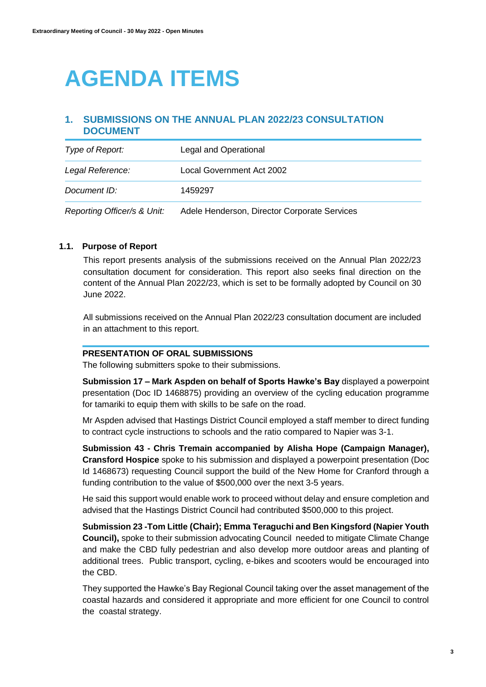# **AGENDA ITEMS**

### **1. SUBMISSIONS ON THE ANNUAL PLAN 2022/23 CONSULTATION DOCUMENT**

| Type of Report:             | Legal and Operational                        |
|-----------------------------|----------------------------------------------|
| Legal Reference:            | Local Government Act 2002                    |
| Document ID:                | 1459297                                      |
| Reporting Officer/s & Unit: | Adele Henderson, Director Corporate Services |

#### **1.1. Purpose of Report**

This report presents analysis of the submissions received on the Annual Plan 2022/23 consultation document for consideration. This report also seeks final direction on the content of the Annual Plan 2022/23, which is set to be formally adopted by Council on 30 June 2022.

All submissions received on the Annual Plan 2022/23 consultation document are included in an attachment to this report.

#### **PRESENTATION OF ORAL SUBMISSIONS**

The following submitters spoke to their submissions.

**Submission 17 – Mark Aspden on behalf of Sports Hawke's Bay** displayed a powerpoint presentation (Doc ID 1468875) providing an overview of the cycling education programme for tamariki to equip them with skills to be safe on the road.

Mr Aspden advised that Hastings District Council employed a staff member to direct funding to contract cycle instructions to schools and the ratio compared to Napier was 3-1.

**Submission 43 - Chris Tremain accompanied by Alisha Hope (Campaign Manager), Cransford Hospice** spoke to his submission and displayed a powerpoint presentation (Doc Id 1468673) requesting Council support the build of the New Home for Cranford through a funding contribution to the value of \$500,000 over the next 3-5 years.

He said this support would enable work to proceed without delay and ensure completion and advised that the Hastings District Council had contributed \$500,000 to this project.

**Submission 23 -Tom Little (Chair); Emma Teraguchi and Ben Kingsford (Napier Youth Council),** spoke to their submission advocating Council needed to mitigate Climate Change and make the CBD fully pedestrian and also develop more outdoor areas and planting of additional trees. Public transport, cycling, e-bikes and scooters would be encouraged into the CBD.

They supported the Hawke's Bay Regional Council taking over the asset management of the coastal hazards and considered it appropriate and more efficient for one Council to control the coastal strategy.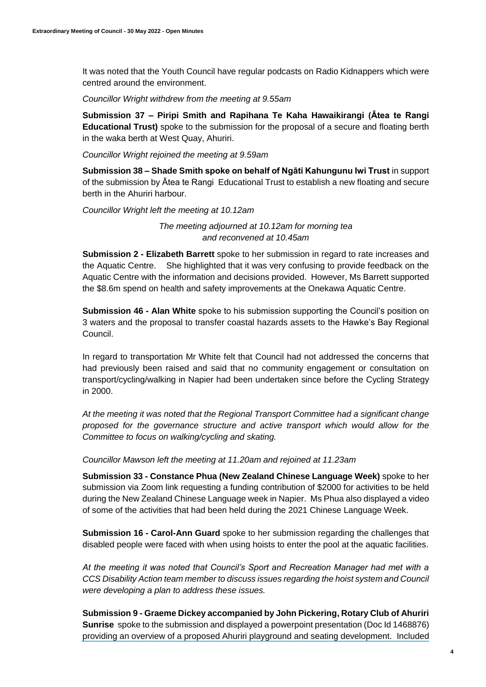It was noted that the Youth Council have regular podcasts on Radio Kidnappers which were centred around the environment.

*Councillor Wright withdrew from the meeting at 9.55am*

**Submission 37 – Piripi Smith and Rapihana Te Kaha Hawaikirangi (Ātea te Rangi Educational Trust)** spoke to the submission for the proposal of a secure and floating berth in the waka berth at West Quay, Ahuriri.

*Councillor Wright rejoined the meeting at 9.59am*

**Submission 38 – Shade Smith spoke on behalf of Ngāti Kahungunu Iwi Trust** in support of the submission by Ātea te Rangi Educational Trust to establish a new floating and secure berth in the Ahuriri harbour.

*Councillor Wright left the meeting at 10.12am*

*The meeting adjourned at 10.12am for morning tea and reconvened at 10.45am*

**Submission 2 - Elizabeth Barrett** spoke to her submission in regard to rate increases and the Aquatic Centre. She highlighted that it was very confusing to provide feedback on the Aquatic Centre with the information and decisions provided. However, Ms Barrett supported the \$8.6m spend on health and safety improvements at the Onekawa Aquatic Centre.

**Submission 46 - Alan White** spoke to his submission supporting the Council's position on 3 waters and the proposal to transfer coastal hazards assets to the Hawke's Bay Regional Council.

In regard to transportation Mr White felt that Council had not addressed the concerns that had previously been raised and said that no community engagement or consultation on transport/cycling/walking in Napier had been undertaken since before the Cycling Strategy in 2000.

*At the meeting it was noted that the Regional Transport Committee had a significant change proposed for the governance structure and active transport which would allow for the Committee to focus on walking/cycling and skating.*

*Councillor Mawson left the meeting at 11.20am and rejoined at 11.23am*

**Submission 33 - Constance Phua (New Zealand Chinese Language Week)** spoke to her submission via Zoom link requesting a funding contribution of \$2000 for activities to be held during the New Zealand Chinese Language week in Napier. Ms Phua also displayed a video of some of the activities that had been held during the 2021 Chinese Language Week.

**Submission 16 - Carol-Ann Guard** spoke to her submission regarding the challenges that disabled people were faced with when using hoists to enter the pool at the aquatic facilities.

*At the meeting it was noted that Council's Sport and Recreation Manager had met with a CCS Disability Action team member to discuss issues regarding the hoist system and Council were developing a plan to address these issues.*

**Submission 9 - Graeme Dickey accompanied by John Pickering, Rotary Club of Ahuriri Sunrise** spoke to the submission and displayed a powerpoint presentation (Doc Id 1468876) providing an overview of a proposed Ahuriri playground and seating development. Included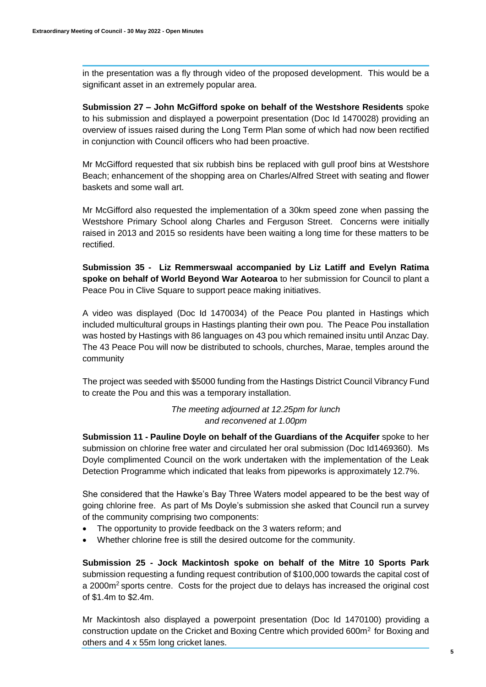in the presentation was a fly through video of the proposed development. This would be a significant asset in an extremely popular area.

**Submission 27 – John McGifford spoke on behalf of the Westshore Residents** spoke to his submission and displayed a powerpoint presentation (Doc Id 1470028) providing an overview of issues raised during the Long Term Plan some of which had now been rectified in conjunction with Council officers who had been proactive.

Mr McGifford requested that six rubbish bins be replaced with gull proof bins at Westshore Beach; enhancement of the shopping area on Charles/Alfred Street with seating and flower baskets and some wall art.

Mr McGifford also requested the implementation of a 30km speed zone when passing the Westshore Primary School along Charles and Ferguson Street. Concerns were initially raised in 2013 and 2015 so residents have been waiting a long time for these matters to be rectified.

**Submission 35 - Liz Remmerswaal accompanied by Liz Latiff and Evelyn Ratima spoke on behalf of World Beyond War Aotearoa** to her submission for Council to plant a Peace Pou in Clive Square to support peace making initiatives.

A video was displayed (Doc Id 1470034) of the Peace Pou planted in Hastings which included multicultural groups in Hastings planting their own pou. The Peace Pou installation was hosted by Hastings with 86 languages on 43 pou which remained insitu until Anzac Day. The 43 Peace Pou will now be distributed to schools, churches, Marae, temples around the community

The project was seeded with \$5000 funding from the Hastings District Council Vibrancy Fund to create the Pou and this was a temporary installation.

> *The meeting adjourned at 12.25pm for lunch and reconvened at 1.00pm*

**Submission 11 - Pauline Doyle on behalf of the Guardians of the Acquifer** spoke to her submission on chlorine free water and circulated her oral submission (Doc Id1469360). Ms Doyle complimented Council on the work undertaken with the implementation of the Leak Detection Programme which indicated that leaks from pipeworks is approximately 12.7%.

She considered that the Hawke's Bay Three Waters model appeared to be the best way of going chlorine free. As part of Ms Doyle's submission she asked that Council run a survey of the community comprising two components:

- The opportunity to provide feedback on the 3 waters reform; and
- Whether chlorine free is still the desired outcome for the community.

**Submission 25 - Jock Mackintosh spoke on behalf of the Mitre 10 Sports Park**  submission requesting a funding request contribution of \$100,000 towards the capital cost of a 2000m<sup>2</sup> sports centre. Costs for the project due to delays has increased the original cost of \$1.4m to \$2.4m.

Mr Mackintosh also displayed a powerpoint presentation (Doc Id 1470100) providing a construction update on the Cricket and Boxing Centre which provided  $600m^2$  for Boxing and others and 4 x 55m long cricket lanes.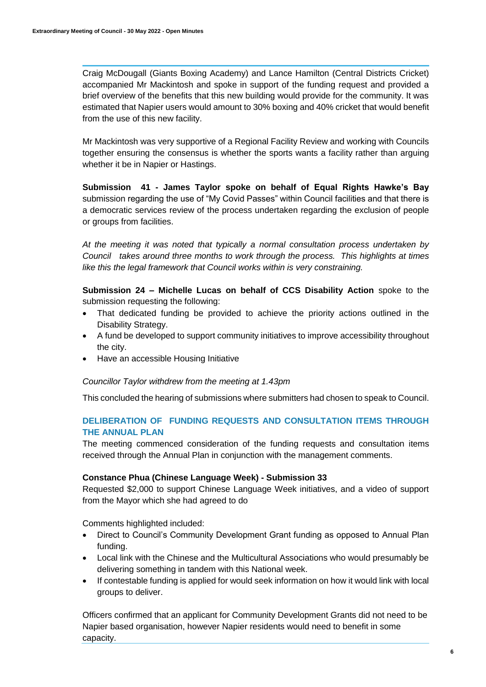Craig McDougall (Giants Boxing Academy) and Lance Hamilton (Central Districts Cricket) accompanied Mr Mackintosh and spoke in support of the funding request and provided a brief overview of the benefits that this new building would provide for the community. It was estimated that Napier users would amount to 30% boxing and 40% cricket that would benefit from the use of this new facility.

Mr Mackintosh was very supportive of a Regional Facility Review and working with Councils together ensuring the consensus is whether the sports wants a facility rather than arguing whether it be in Napier or Hastings.

**Submission 41 - James Taylor spoke on behalf of Equal Rights Hawke's Bay** submission regarding the use of "My Covid Passes" within Council facilities and that there is a democratic services review of the process undertaken regarding the exclusion of people or groups from facilities.

*At the meeting it was noted that typically a normal consultation process undertaken by Council takes around three months to work through the process. This highlights at times like this the legal framework that Council works within is very constraining.*

**Submission 24 – Michelle Lucas on behalf of CCS Disability Action** spoke to the submission requesting the following:

- That dedicated funding be provided to achieve the priority actions outlined in the Disability Strategy.
- A fund be developed to support community initiatives to improve accessibility throughout the city.
- Have an accessible Housing Initiative

#### *Councillor Taylor withdrew from the meeting at 1.43pm*

This concluded the hearing of submissions where submitters had chosen to speak to Council.

#### **DELIBERATION OF FUNDING REQUESTS AND CONSULTATION ITEMS THROUGH THE ANNUAL PLAN**

The meeting commenced consideration of the funding requests and consultation items received through the Annual Plan in conjunction with the management comments.

#### **Constance Phua (Chinese Language Week) - Submission 33**

Requested \$2,000 to support Chinese Language Week initiatives, and a video of support from the Mayor which she had agreed to do

Comments highlighted included:

- Direct to Council's Community Development Grant funding as opposed to Annual Plan funding.
- Local link with the Chinese and the Multicultural Associations who would presumably be delivering something in tandem with this National week.
- If contestable funding is applied for would seek information on how it would link with local groups to deliver.

Officers confirmed that an applicant for Community Development Grants did not need to be Napier based organisation, however Napier residents would need to benefit in some capacity.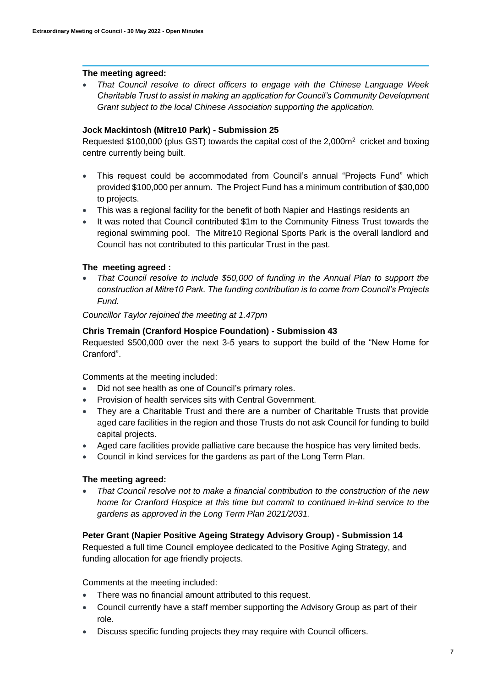#### **The meeting agreed:**

 *That Council resolve to direct officers to engage with the Chinese Language Week Charitable Trust to assist in making an application for Council's Community Development Grant subject to the local Chinese Association supporting the application.*

#### **Jock Mackintosh (Mitre10 Park) - Submission 25**

Requested \$100,000 (plus GST) towards the capital cost of the 2,000m<sup>2</sup> cricket and boxing centre currently being built.

- This request could be accommodated from Council's annual "Projects Fund" which provided \$100,000 per annum. The Project Fund has a minimum contribution of \$30,000 to projects.
- This was a regional facility for the benefit of both Napier and Hastings residents an
- It was noted that Council contributed \$1m to the Community Fitness Trust towards the regional swimming pool. The Mitre10 Regional Sports Park is the overall landlord and Council has not contributed to this particular Trust in the past.

#### **The meeting agreed :**

 *That Council resolve to include \$50,000 of funding in the Annual Plan to support the construction at Mitre10 Park. The funding contribution is to come from Council's Projects Fund.*

*Councillor Taylor rejoined the meeting at 1.47pm*

#### **Chris Tremain (Cranford Hospice Foundation) - Submission 43**

Requested \$500,000 over the next 3-5 years to support the build of the "New Home for Cranford".

Comments at the meeting included:

- Did not see health as one of Council's primary roles.
- Provision of health services sits with Central Government.
- They are a Charitable Trust and there are a number of Charitable Trusts that provide aged care facilities in the region and those Trusts do not ask Council for funding to build capital projects.
- Aged care facilities provide palliative care because the hospice has very limited beds.
- Council in kind services for the gardens as part of the Long Term Plan.

#### **The meeting agreed:**

 *That Council resolve not to make a financial contribution to the construction of the new home for Cranford Hospice at this time but commit to continued in-kind service to the gardens as approved in the Long Term Plan 2021/2031.*

#### **Peter Grant (Napier Positive Ageing Strategy Advisory Group) - Submission 14**

Requested a full time Council employee dedicated to the Positive Aging Strategy, and funding allocation for age friendly projects.

Comments at the meeting included:

- There was no financial amount attributed to this request.
- Council currently have a staff member supporting the Advisory Group as part of their role.
- Discuss specific funding projects they may require with Council officers.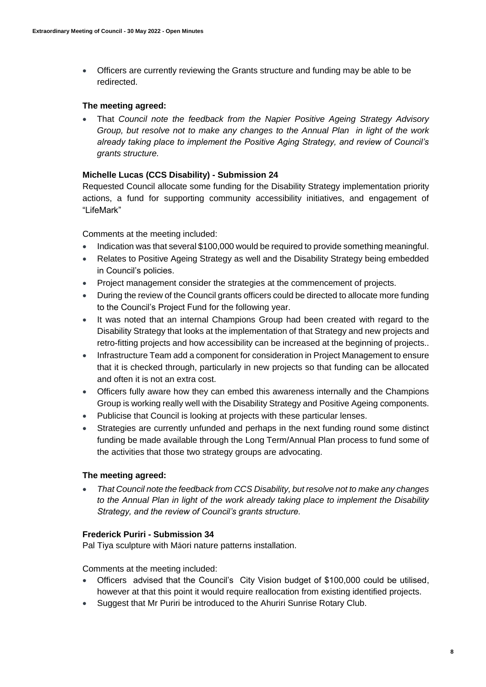Officers are currently reviewing the Grants structure and funding may be able to be redirected.

#### **The meeting agreed:**

 That *Council note the feedback from the Napier Positive Ageing Strategy Advisory Group, but resolve not to make any changes to the Annual Plan in light of the work already taking place to implement the Positive Aging Strategy, and review of Council's grants structure.*

#### **Michelle Lucas (CCS Disability) - Submission 24**

Requested Council allocate some funding for the Disability Strategy implementation priority actions, a fund for supporting community accessibility initiatives, and engagement of "LifeMark"

Comments at the meeting included:

- Indication was that several \$100,000 would be required to provide something meaningful.
- Relates to Positive Ageing Strategy as well and the Disability Strategy being embedded in Council's policies.
- Project management consider the strategies at the commencement of projects.
- During the review of the Council grants officers could be directed to allocate more funding to the Council's Project Fund for the following year.
- It was noted that an internal Champions Group had been created with regard to the Disability Strategy that looks at the implementation of that Strategy and new projects and retro-fitting projects and how accessibility can be increased at the beginning of projects..
- Infrastructure Team add a component for consideration in Project Management to ensure that it is checked through, particularly in new projects so that funding can be allocated and often it is not an extra cost.
- Officers fully aware how they can embed this awareness internally and the Champions Group is working really well with the Disability Strategy and Positive Ageing components.
- Publicise that Council is looking at projects with these particular lenses.
- Strategies are currently unfunded and perhaps in the next funding round some distinct funding be made available through the Long Term/Annual Plan process to fund some of the activities that those two strategy groups are advocating.

#### **The meeting agreed:**

 *That Council note the feedback from CCS Disability, but resolve not to make any changes to the Annual Plan in light of the work already taking place to implement the Disability Strategy, and the review of Council's grants structure.*

#### **Frederick Puriri - Submission 34**

Pal Tiya sculpture with Māori nature patterns installation.

Comments at the meeting included:

- Officers advised that the Council's City Vision budget of \$100,000 could be utilised, however at that this point it would require reallocation from existing identified projects.
- Suggest that Mr Puriri be introduced to the Ahuriri Sunrise Rotary Club.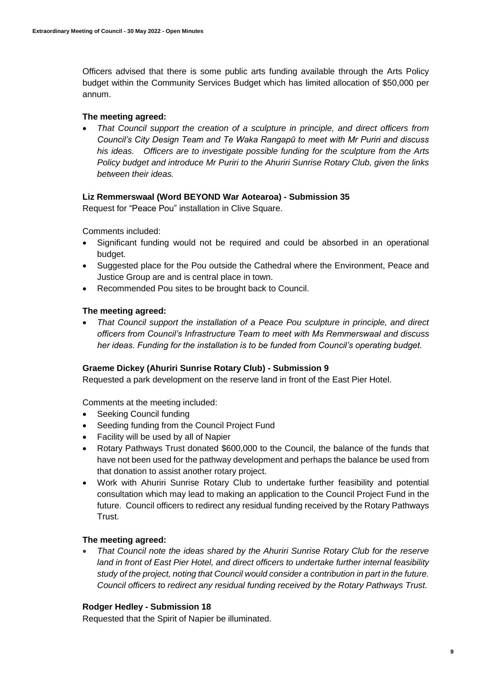Officers advised that there is some public arts funding available through the Arts Policy budget within the Community Services Budget which has limited allocation of \$50,000 per annum.

#### **The meeting agreed:**

 *That Council support the creation of a sculpture in principle, and direct officers from Council's City Design Team and Te Waka Rangapū to meet with Mr Puriri and discuss his ideas. Officers are to investigate possible funding for the sculpture from the Arts Policy budget and introduce Mr Puriri to the Ahuriri Sunrise Rotary Club, given the links between their ideas.*

#### **Liz Remmerswaal (Word BEYOND War Aotearoa) - Submission 35**

Request for "Peace Pou" installation in Clive Square.

Comments included:

- Significant funding would not be required and could be absorbed in an operational budget.
- Suggested place for the Pou outside the Cathedral where the Environment, Peace and Justice Group are and is central place in town.
- Recommended Pou sites to be brought back to Council.

#### **The meeting agreed:**

 *That Council support the installation of a Peace Pou sculpture in principle, and direct officers from Council's Infrastructure Team to meet with Ms Remmerswaal and discuss her ideas. Funding for the installation is to be funded from Council's operating budget.*

#### **Graeme Dickey (Ahuriri Sunrise Rotary Club) - Submission 9**

Requested a park development on the reserve land in front of the East Pier Hotel.

Comments at the meeting included:

- Seeking Council funding
- Seeding funding from the Council Project Fund
- Facility will be used by all of Napier
- Rotary Pathways Trust donated \$600,000 to the Council, the balance of the funds that have not been used for the pathway development and perhaps the balance be used from that donation to assist another rotary project.
- Work with Ahuriri Sunrise Rotary Club to undertake further feasibility and potential consultation which may lead to making an application to the Council Project Fund in the future. Council officers to redirect any residual funding received by the Rotary Pathways Trust.

#### **The meeting agreed:**

 *That Council note the ideas shared by the Ahuriri Sunrise Rotary Club for the reserve land in front of East Pier Hotel, and direct officers to undertake further internal feasibility study of the project, noting that Council would consider a contribution in part in the future. Council officers to redirect any residual funding received by the Rotary Pathways Trust.*

#### **Rodger Hedley - Submission 18**

Requested that the Spirit of Napier be illuminated.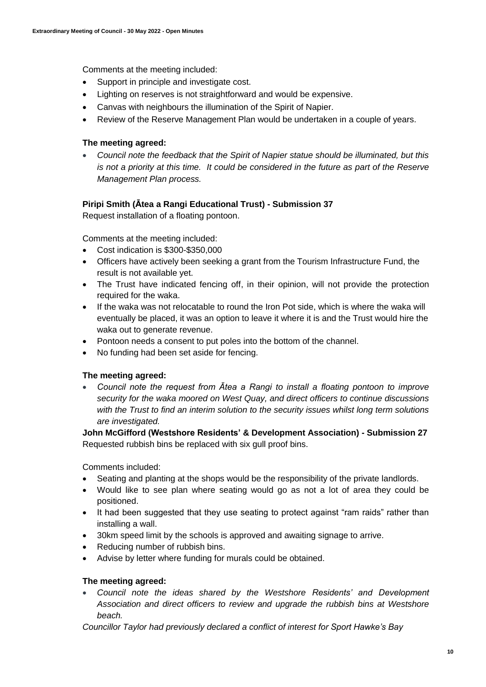Comments at the meeting included:

- Support in principle and investigate cost.
- Lighting on reserves is not straightforward and would be expensive.
- Canvas with neighbours the illumination of the Spirit of Napier.
- Review of the Reserve Management Plan would be undertaken in a couple of years.

#### **The meeting agreed:**

 *Council note the feedback that the Spirit of Napier statue should be illuminated, but this is not a priority at this time. It could be considered in the future as part of the Reserve Management Plan process.*

#### **Piripi Smith (Ātea a Rangi Educational Trust) - Submission 37**

Request installation of a floating pontoon.

Comments at the meeting included:

- Cost indication is \$300-\$350,000
- Officers have actively been seeking a grant from the Tourism Infrastructure Fund, the result is not available yet.
- The Trust have indicated fencing off, in their opinion, will not provide the protection required for the waka.
- If the waka was not relocatable to round the Iron Pot side, which is where the waka will eventually be placed, it was an option to leave it where it is and the Trust would hire the waka out to generate revenue.
- Pontoon needs a consent to put poles into the bottom of the channel.
- No funding had been set aside for fencing.

#### **The meeting agreed:**

 *Council note the request from Ātea a Rangi to install a floating pontoon to improve security for the waka moored on West Quay, and direct officers to continue discussions with the Trust to find an interim solution to the security issues whilst long term solutions are investigated.*

**John McGifford (Westshore Residents' & Development Association) - Submission 27** Requested rubbish bins be replaced with six gull proof bins.

Comments included:

- Seating and planting at the shops would be the responsibility of the private landlords.
- Would like to see plan where seating would go as not a lot of area they could be positioned.
- It had been suggested that they use seating to protect against "ram raids" rather than installing a wall.
- 30km speed limit by the schools is approved and awaiting signage to arrive.
- Reducing number of rubbish bins.
- Advise by letter where funding for murals could be obtained.

#### **The meeting agreed:**

 *Council note the ideas shared by the Westshore Residents' and Development Association and direct officers to review and upgrade the rubbish bins at Westshore beach.*

*Councillor Taylor had previously declared a conflict of interest for Sport Hawke's Bay*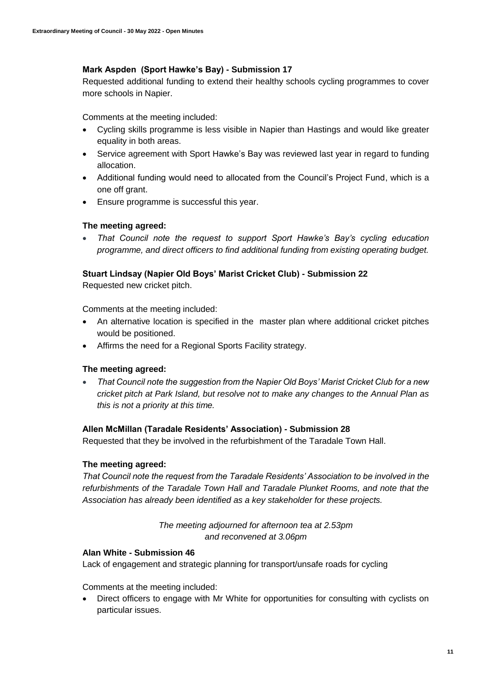#### **Mark Aspden (Sport Hawke's Bay) - Submission 17**

Requested additional funding to extend their healthy schools cycling programmes to cover more schools in Napier.

Comments at the meeting included:

- Cycling skills programme is less visible in Napier than Hastings and would like greater equality in both areas.
- Service agreement with Sport Hawke's Bay was reviewed last year in regard to funding allocation.
- Additional funding would need to allocated from the Council's Project Fund, which is a one off grant.
- Ensure programme is successful this year.

#### **The meeting agreed:**

 *That Council note the request to support Sport Hawke's Bay's cycling education programme, and direct officers to find additional funding from existing operating budget.*

#### **Stuart Lindsay (Napier Old Boys' Marist Cricket Club) - Submission 22**

Requested new cricket pitch.

Comments at the meeting included:

- An alternative location is specified in the master plan where additional cricket pitches would be positioned.
- Affirms the need for a Regional Sports Facility strategy.

#### **The meeting agreed:**

 *That Council note the suggestion from the Napier Old Boys' Marist Cricket Club for a new cricket pitch at Park Island, but resolve not to make any changes to the Annual Plan as this is not a priority at this time.*

#### **Allen McMillan (Taradale Residents' Association) - Submission 28**

Requested that they be involved in the refurbishment of the Taradale Town Hall.

#### **The meeting agreed:**

*That Council note the request from the Taradale Residents' Association to be involved in the refurbishments of the Taradale Town Hall and Taradale Plunket Rooms, and note that the Association has already been identified as a key stakeholder for these projects.*

> *The meeting adjourned for afternoon tea at 2.53pm and reconvened at 3.06pm*

#### **Alan White - Submission 46**

Lack of engagement and strategic planning for transport/unsafe roads for cycling

Comments at the meeting included:

 Direct officers to engage with Mr White for opportunities for consulting with cyclists on particular issues.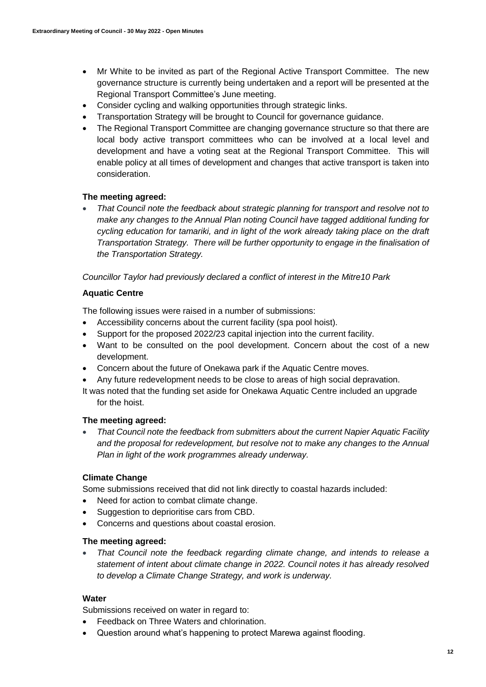- Mr White to be invited as part of the Regional Active Transport Committee. The new governance structure is currently being undertaken and a report will be presented at the Regional Transport Committee's June meeting.
- Consider cycling and walking opportunities through strategic links.
- Transportation Strategy will be brought to Council for governance guidance.
- The Regional Transport Committee are changing governance structure so that there are local body active transport committees who can be involved at a local level and development and have a voting seat at the Regional Transport Committee. This will enable policy at all times of development and changes that active transport is taken into consideration.

#### **The meeting agreed:**

 *That Council note the feedback about strategic planning for transport and resolve not to make any changes to the Annual Plan noting Council have tagged additional funding for cycling education for tamariki, and in light of the work already taking place on the draft Transportation Strategy. There will be further opportunity to engage in the finalisation of the Transportation Strategy.*

*Councillor Taylor had previously declared a conflict of interest in the Mitre10 Park*

#### **Aquatic Centre**

The following issues were raised in a number of submissions:

- Accessibility concerns about the current facility (spa pool hoist).
- Support for the proposed 2022/23 capital injection into the current facility.
- Want to be consulted on the pool development. Concern about the cost of a new development.
- Concern about the future of Onekawa park if the Aquatic Centre moves.
- Any future redevelopment needs to be close to areas of high social depravation.
- It was noted that the funding set aside for Onekawa Aquatic Centre included an upgrade for the hoist.

#### **The meeting agreed:**

 *That Council note the feedback from submitters about the current Napier Aquatic Facility and the proposal for redevelopment, but resolve not to make any changes to the Annual Plan in light of the work programmes already underway.*

#### **Climate Change**

Some submissions received that did not link directly to coastal hazards included:

- Need for action to combat climate change.
- Suggestion to deprioritise cars from CBD.
- Concerns and questions about coastal erosion.

#### **The meeting agreed:**

 *That Council note the feedback regarding climate change, and intends to release a statement of intent about climate change in 2022. Council notes it has already resolved to develop a Climate Change Strategy, and work is underway.*

#### **Water**

Submissions received on water in regard to:

- Feedback on Three Waters and chlorination.
- Question around what's happening to protect Marewa against flooding.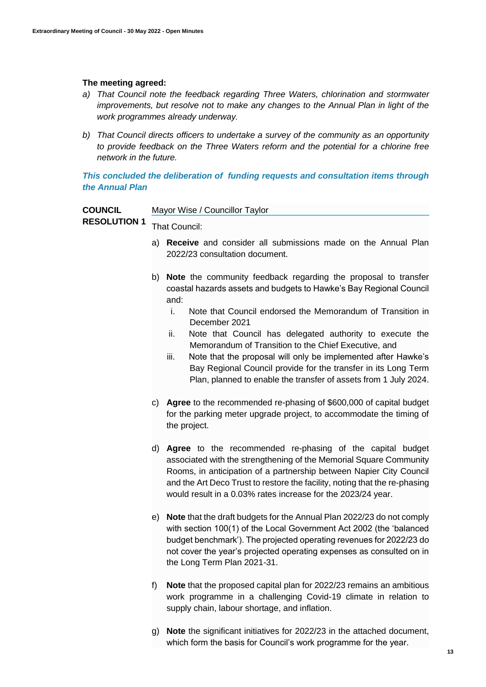#### **The meeting agreed:**

- *a) That Council note the feedback regarding Three Waters, chlorination and stormwater improvements, but resolve not to make any changes to the Annual Plan in light of the work programmes already underway.*
- *b) That Council directs officers to undertake a survey of the community as an opportunity to provide feedback on the Three Waters reform and the potential for a chlorine free network in the future.*

#### *This concluded the deliberation of funding requests and consultation items through the Annual Plan*

| <b>COUNCIL</b>                    | Mayor Wise / Councillor Taylor                                                                    |
|-----------------------------------|---------------------------------------------------------------------------------------------------|
| <b>RESOLUTION 1</b> That Council: |                                                                                                   |
|                                   | a) Receive and consider all submissions made on the Annual Plan<br>2022/23 consultation document. |

- b) **Note** the community feedback regarding the proposal to transfer coastal hazards assets and budgets to Hawke's Bay Regional Council and:
	- i. Note that Council endorsed the Memorandum of Transition in December 2021
	- ii. Note that Council has delegated authority to execute the Memorandum of Transition to the Chief Executive, and
	- iii. Note that the proposal will only be implemented after Hawke's Bay Regional Council provide for the transfer in its Long Term Plan, planned to enable the transfer of assets from 1 July 2024.
- c) **Agree** to the recommended re-phasing of \$600,000 of capital budget for the parking meter upgrade project, to accommodate the timing of the project.
- d) **Agree** to the recommended re-phasing of the capital budget associated with the strengthening of the Memorial Square Community Rooms, in anticipation of a partnership between Napier City Council and the Art Deco Trust to restore the facility, noting that the re-phasing would result in a 0.03% rates increase for the 2023/24 year.
- e) **Note** that the draft budgets for the Annual Plan 2022/23 do not comply with section 100(1) of the Local Government Act 2002 (the 'balanced budget benchmark'). The projected operating revenues for 2022/23 do not cover the year's projected operating expenses as consulted on in the Long Term Plan 2021-31.
- f) **Note** that the proposed capital plan for 2022/23 remains an ambitious work programme in a challenging Covid-19 climate in relation to supply chain, labour shortage, and inflation.
- g) **Note** the significant initiatives for 2022/23 in the attached document, which form the basis for Council's work programme for the year.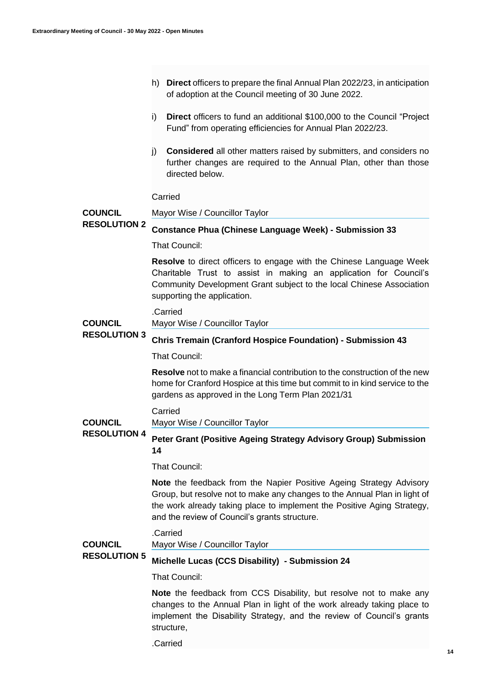- h) **Direct** officers to prepare the final Annual Plan 2022/23, in anticipation of adoption at the Council meeting of 30 June 2022.
- i) **Direct** officers to fund an additional \$100,000 to the Council "Project Fund" from operating efficiencies for Annual Plan 2022/23.
- j) **Considered** all other matters raised by submitters, and considers no further changes are required to the Annual Plan, other than those directed below.

#### Carried

**COUNCIL**  Mayor Wise / Councillor Taylor

#### **RESOLUTION 2 Constance Phua (Chinese Language Week) - Submission 33**

That Council:

**Resolve** to direct officers to engage with the Chinese Language Week Charitable Trust to assist in making an application for Council's Community Development Grant subject to the local Chinese Association supporting the application.

.Carried

Mayor Wise / Councillor Taylor

#### **RESOLUTION 3 Chris Tremain (Cranford Hospice Foundation) - Submission 43**

That Council:

**Resolve** not to make a financial contribution to the construction of the new home for Cranford Hospice at this time but commit to in kind service to the gardens as approved in the Long Term Plan 2021/31

Carried

**COUNCIL**  Mayor Wise / Councillor Taylor

**RESOLUTION 4 Peter Grant (Positive Ageing Strategy Advisory Group) Submission 14** 

That Council:

**Note** the feedback from the Napier Positive Ageing Strategy Advisory Group, but resolve not to make any changes to the Annual Plan in light of the work already taking place to implement the Positive Aging Strategy, and the review of Council's grants structure.

#### .Carried

Mayor Wise / Councillor Taylor

#### **COUNCIL RESOLUTION 5**

**COUNCIL** 

#### **Michelle Lucas (CCS Disability) - Submission 24**

That Council:

**Note** the feedback from CCS Disability, but resolve not to make any changes to the Annual Plan in light of the work already taking place to implement the Disability Strategy, and the review of Council's grants structure,

.Carried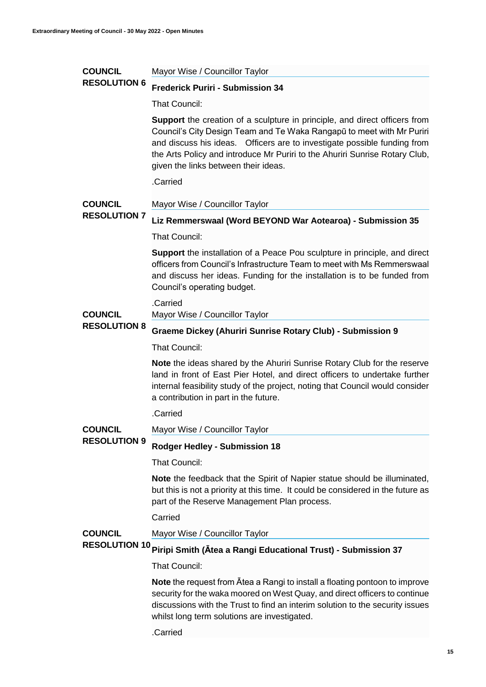#### **COUNCIL RESOLUTION 6** Mayor Wise / Councillor Taylor **Frederick Puriri - Submission 34**

That Council:

**Support** the creation of a sculpture in principle, and direct officers from Council's City Design Team and Te Waka Rangapū to meet with Mr Puriri and discuss his ideas. Officers are to investigate possible funding from the Arts Policy and introduce Mr Puriri to the Ahuriri Sunrise Rotary Club, given the links between their ideas.

.Carried

#### **COUNCIL**  Mayor Wise / Councillor Taylor

### **RESOLUTION 7**

# **Liz Remmerswaal (Word BEYOND War Aotearoa) - Submission 35**

That Council:

**Support** the installation of a Peace Pou sculpture in principle, and direct officers from Council's Infrastructure Team to meet with Ms Remmerswaal and discuss her ideas. Funding for the installation is to be funded from Council's operating budget.

#### .Carried

Mayor Wise / Councillor Taylor

#### **COUNCIL RESOLUTION 8**

#### **Graeme Dickey (Ahuriri Sunrise Rotary Club) - Submission 9**

That Council:

**Note** the ideas shared by the Ahuriri Sunrise Rotary Club for the reserve land in front of East Pier Hotel, and direct officers to undertake further internal feasibility study of the project, noting that Council would consider a contribution in part in the future.

.Carried

**COUNCIL RESOLUTION 9** Mayor Wise / Councillor Taylor

**Rodger Hedley - Submission 18** 

That Council:

**Note** the feedback that the Spirit of Napier statue should be illuminated, but this is not a priority at this time. It could be considered in the future as part of the Reserve Management Plan process.

Carried

**COUNCIL**  Mayor Wise / Councillor Taylor

# **RESOLUTION 10 Piripi Smith (Ātea a Rangi Educational Trust) - Submission 37**

That Council:

**Note** the request from Ātea a Rangi to install a floating pontoon to improve security for the waka moored on West Quay, and direct officers to continue discussions with the Trust to find an interim solution to the security issues whilst long term solutions are investigated.

.Carried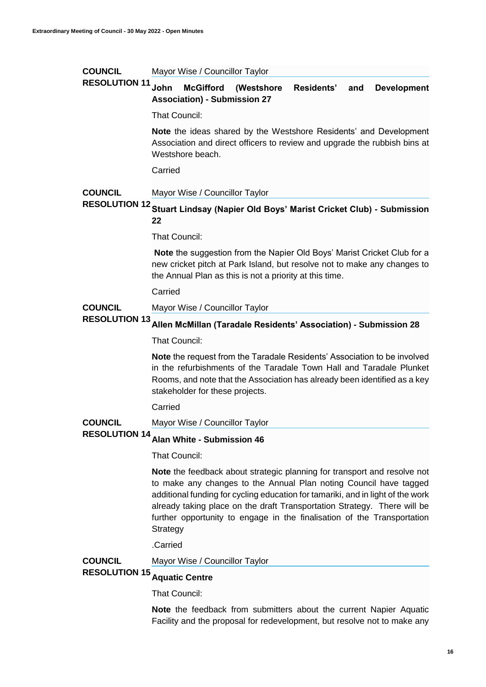| <b>COUNCIL</b>                         | Mayor Wise / Councillor Taylor                                                                                                                                                                                                                                                                                                                                                                      |
|----------------------------------------|-----------------------------------------------------------------------------------------------------------------------------------------------------------------------------------------------------------------------------------------------------------------------------------------------------------------------------------------------------------------------------------------------------|
| <b>RESOLUTION 11</b>                   | <b>John</b><br><b>McGifford</b><br>Residents'<br>(Westshore)<br><b>Development</b><br>and<br><b>Association) - Submission 27</b>                                                                                                                                                                                                                                                                    |
|                                        | <b>That Council:</b>                                                                                                                                                                                                                                                                                                                                                                                |
|                                        | <b>Note</b> the ideas shared by the Westshore Residents' and Development<br>Association and direct officers to review and upgrade the rubbish bins at<br>Westshore beach.                                                                                                                                                                                                                           |
|                                        | Carried                                                                                                                                                                                                                                                                                                                                                                                             |
| <b>COUNCIL</b>                         | Mayor Wise / Councillor Taylor                                                                                                                                                                                                                                                                                                                                                                      |
|                                        | RESOLUTION 12 Stuart Lindsay (Napier Old Boys' Marist Cricket Club) - Submission<br>22                                                                                                                                                                                                                                                                                                              |
|                                        | <b>That Council:</b>                                                                                                                                                                                                                                                                                                                                                                                |
|                                        | <b>Note</b> the suggestion from the Napier Old Boys' Marist Cricket Club for a<br>new cricket pitch at Park Island, but resolve not to make any changes to<br>the Annual Plan as this is not a priority at this time.                                                                                                                                                                               |
|                                        | Carried                                                                                                                                                                                                                                                                                                                                                                                             |
| <b>COUNCIL</b><br><b>RESOLUTION 13</b> | Mayor Wise / Councillor Taylor                                                                                                                                                                                                                                                                                                                                                                      |
|                                        | Allen McMillan (Taradale Residents' Association) - Submission 28                                                                                                                                                                                                                                                                                                                                    |
|                                        | <b>That Council:</b>                                                                                                                                                                                                                                                                                                                                                                                |
|                                        | <b>Note</b> the request from the Taradale Residents' Association to be involved<br>in the refurbishments of the Taradale Town Hall and Taradale Plunket<br>Rooms, and note that the Association has already been identified as a key<br>stakeholder for these projects.                                                                                                                             |
|                                        | Carried                                                                                                                                                                                                                                                                                                                                                                                             |
| <b>COUNCIL</b>                         | Mayor Wise / Councillor Taylor                                                                                                                                                                                                                                                                                                                                                                      |
| <b>RESOLUTION 14</b>                   | Alan White - Submission 46                                                                                                                                                                                                                                                                                                                                                                          |
|                                        | <b>That Council:</b>                                                                                                                                                                                                                                                                                                                                                                                |
|                                        | Note the feedback about strategic planning for transport and resolve not<br>to make any changes to the Annual Plan noting Council have tagged<br>additional funding for cycling education for tamariki, and in light of the work<br>already taking place on the draft Transportation Strategy. There will be<br>further opportunity to engage in the finalisation of the Transportation<br>Strategy |

.Carried

**COUNCIL RESOLUTION 15 Aquatic Centre** Mayor Wise / Councillor Taylor

That Council:

**Note** the feedback from submitters about the current Napier Aquatic Facility and the proposal for redevelopment, but resolve not to make any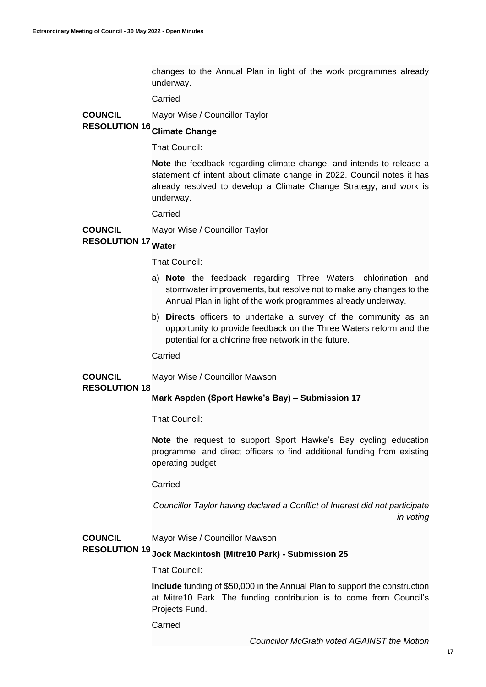changes to the Annual Plan in light of the work programmes already underway.

Carried

**COUNCIL**  Mayor Wise / Councillor Taylor

# **RESOLUTION 16 Climate Change**

That Council:

**Note** the feedback regarding climate change, and intends to release a statement of intent about climate change in 2022. Council notes it has already resolved to develop a Climate Change Strategy, and work is underway.

Carried

**COUNCIL**  Mayor Wise / Councillor Taylor

## **RESOLUTION 17 Water**

That Council:

- a) **Note** the feedback regarding Three Waters, chlorination and stormwater improvements, but resolve not to make any changes to the Annual Plan in light of the work programmes already underway.
- b) **Directs** officers to undertake a survey of the community as an opportunity to provide feedback on the Three Waters reform and the potential for a chlorine free network in the future.

Carried

Mayor Wise / Councillor Mawson

#### **RESOLUTION 18**

**COUNCIL** 

#### **Mark Aspden (Sport Hawke's Bay) – Submission 17**

That Council:

**Note** the request to support Sport Hawke's Bay cycling education programme, and direct officers to find additional funding from existing operating budget

Carried

*Councillor Taylor having declared a Conflict of Interest did not participate in voting*

#### **COUNCIL**  Mayor Wise / Councillor Mawson

## **RESOLUTION 19 Jock Mackintosh (Mitre10 Park) - Submission 25**

#### That Council:

**Include** funding of \$50,000 in the Annual Plan to support the construction at Mitre10 Park. The funding contribution is to come from Council's Projects Fund.

**Carried** 

*Councillor McGrath voted AGAINST the Motion*